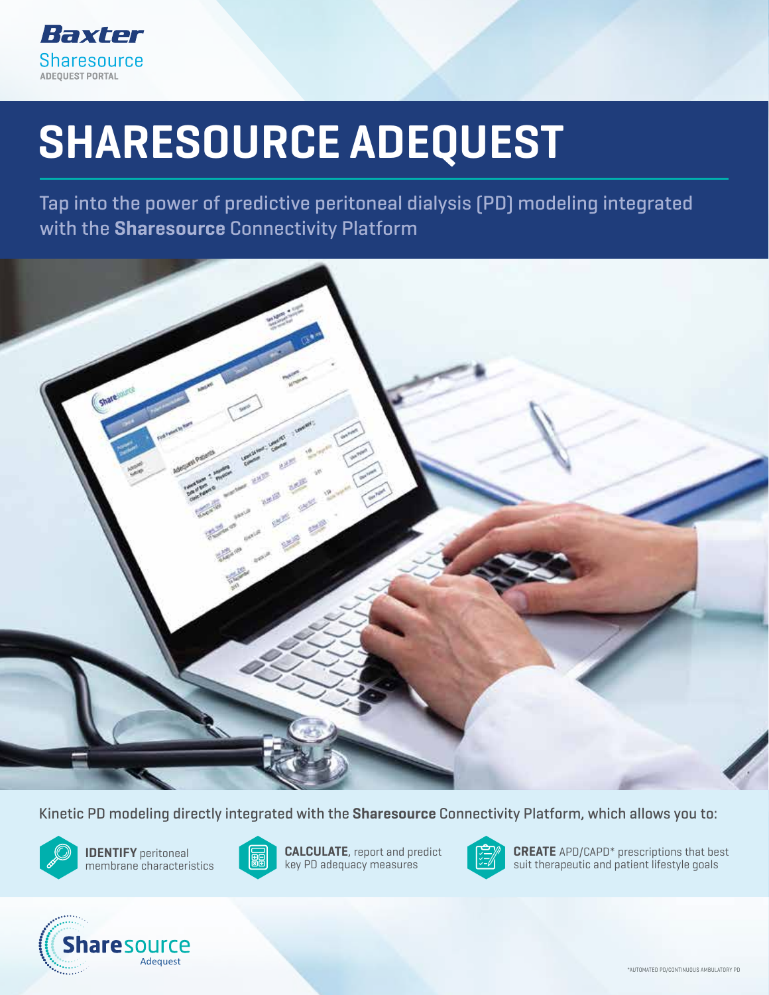

## • Help take the guess work out of PD prescription management SHARESOURCE ADEQUEST

• May avoid unnecessary patient burden of multiple Tap into the power of predictive peritoneal dialysis (PD) modeling integrated with the Sharesource Connectivity Platform



Kinetic PD modeling directly integrated with the **Sharesource** Connectivity Platform, which allows you to:



 $\mathscr{E}$  membrane characteristics  $\mathbb{E}$  **e**d key PD adequacy measur IDENTIFY peritoneal



**CALCULATE**, report and predict key PD adequacy measures



**ODENTIFY** peritoneal **The CALCULATE**, report and predict **THE CREATE** APD/CAPD\* prescriptions that best suit therapeutic and patient lifestyle goals